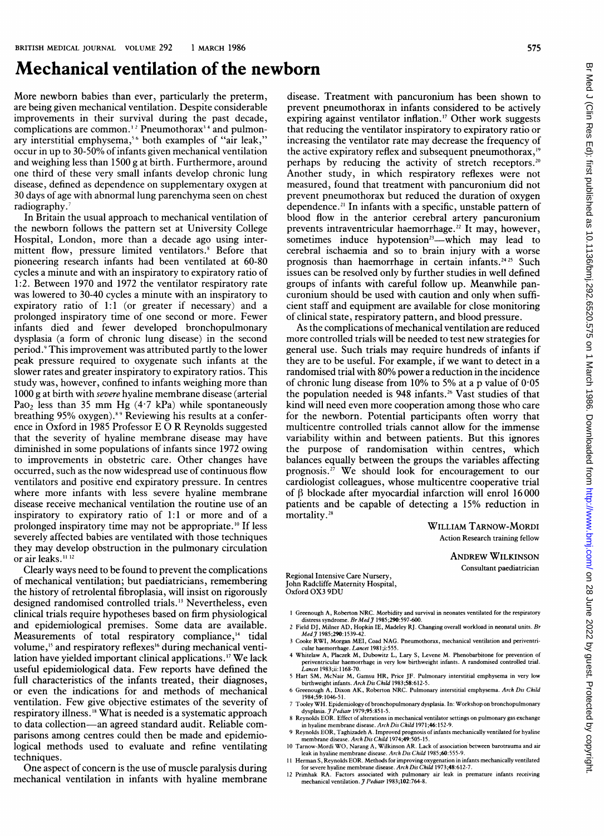## Mechanical ventilation of the newborn

More newborn babies than ever, particularly the preterm, are being given mechanical ventilation. Despite considerable improvements in their survival during the past decade, complications are common.<sup>12</sup> Pneumothorax<sup>34</sup> and pulmonary interstitial emphysema,<sup>56</sup> both examples of "air leak," occur in up to 30-50% of infants given mechanical ventilation and weighing less than 1500 g at birth. Furthermore, around one third of these very small infants develop chronic lung disease, defined as dependence on supplementary oxygen at 30 days of age with abnormal lung parenchyma seen on chest radiography.

In Britain the usual approach to mechanical ventilation of the newborn follows the pattern set at University College Hospital, London, more than a decade ago using intermittent flow, pressure limited ventilators.<sup>8</sup> Before that pioneering research infants had been ventilated at 60-80 cycles a minute and with an inspiratory to expiratory ratio of 1:2. Between 1970 and 1972 the ventilator respiratory rate was lowered to 30-40 cycles a minute with an inspiratory to expiratory ratio of 1:1 (or greater if necessary) and a prolonged inspiratory time of one second or more. Fewer infants died and fewer developed bronchopulmonary dysplasia (a form of chronic lung disease) in the second period.9 This improvement was attributed partly to the lower peak pressure required to oxygenate such infants at the slower rates and greater inspiratory to expiratory ratios. This study was, however, confined to infants weighing more than 1000 g at birth with severe hyaline membrane disease (arterial Pao<sub>2</sub> less than 35 mm Hg  $(4.7 \text{ kPa})$  while spontaneously breathing 95% oxygen).<sup>89</sup> Reviewing his results at a conference in Oxford in <sup>1985</sup> Professor E 0 R Reynolds suggested that the severity of hyaline membrane disease may have diminished in some populations of infants since 1972 owing to improvements in obstetric care. Other changes have occurred, such as the now widespread use of continuous flow ventilators and positive end expiratory pressure. In centres where more infants with less severe hyaline membrane disease receive mechanical ventilation the routine use of an inspiratory to expiratory ratio of 1:1 or more and of a prolonged inspiratory time may not be appropriate.'0 If less severely affected babies are ventilated with those techniques they may develop obstruction in the pulmonary circulation or air leaks.<sup>11 12</sup>

Clearly ways need to be found to prevent the complications of mechanical ventilation; but paediatricians, remembering the history of retrolental fibroplasia, will insist on rigorously designed randomised controlled trials.'3 Nevertheless, even clinical trials require hypotheses based on firm physiological and epidemiological premises. Some data are available. Measurements of total respiratory compliance,<sup>14</sup> tidal volume,<sup>15</sup> and respiratory reflexes<sup>16</sup> during mechanical ventilation have yielded important clinical applications.'7 We lack useful epidemiological data. Few reports have defined the full characteristics of the infants treated, their diagnoses, or even the indications for and methods of mechanical ventilation. Few give objective estimates of the severity of respiratory illness.'8 What is needed is a systematic approach to data collection-an agreed standard audit. Reliable comparisons among centres could then be made and epidemiological methods used to evaluate and refine ventilating techniques.

One aspect of concern is the use of muscle paralysis during mechanical ventilation in infants with hyaline membrane

disease. Treatment with pancuronium has been shown to prevent pneumothorax in infants considered to be actively expiring against ventilator inflation."' Other work suggests that reducing the ventilator inspiratory to expiratory ratio or increasing the ventilator rate may decrease the frequency of the active expiratory reflex and subsequent pneumothorax,<sup>19</sup> perhaps by reducing the activity of stretch receptors.<sup>20</sup> Another study, in which respiratory reflexes were not measured, found that treatment with pancuronium did not prevent pneumothorax but reduced the duration of oxygen dependence.<sup>21</sup> In infants with a specific, unstable pattern of blood flow in the anterior cerebral artery pancuronium prevents intraventricular haemorrhage.<sup>22</sup> It may, however, sometimes induce hypotension<sup>23</sup>—which may lead to cerebral ischaemia and so to brain injury with a worse prognosis than haemorrhage in certain infants.<sup>2425</sup> Such issues can be resolved only by further studies in well defined groups of infants with careful follow up. Meanwhile pancuronium should be used with caution and only when sufficient staff and equipment are available for close monitoring of clinical state, respiratory pattern, and blood pressure.

As the complications of mechanical ventilation are reduced more controlled trials will be needed to test new strategies for general use. Such trials may require hundreds of infants if they are to be useful. For example, if we want to detect in a randomised trial with 80% power a reduction in the incidence of chronic lung disease from 10% to 5% at a p value of  $0.05$ the population needed is 948 infants.<sup>26</sup> Vast studies of that kind will need even more cooperation among those who care for the newborn. Potential participants often worry that multicentre controlled trials cannot allow for the immense variability within and between patients. But this ignores the purpose of randomisation within centres, which balances equally between the groups the variables affecting prognosis.27 We should look for encouragement to our cardiologist colleagues, whose multicentre cooperative trial of  $\beta$  blockade after myocardial infarction will enrol 16000 patients and be capable of detecting a 15% reduction in mortality.<sup>28</sup>

WILLIAM TARNOW-MORDI Action Reseach training fellow

> ANDREW WILKINSON Consultant paediatrician

Regional Intensive Care Nursery, John Radcliffe Maternity Hospital, Oxford OX3 9DU

- 1 Greenough A, Roberton NRC. Morbidity and survival in neonates ventilated for the respiratory<br>distress syndrome. Br Med J 1985;290:597-600.
- 2 Field DJ, Milner AD, Hopkin IE, Madeley RJ. Changing overall workload in neonatal units. Br<br>Med J 1985;290:1539-42. <sup>3</sup> Cooke RWI, Morgan MEI, Coad NAG. Pneumothorax, mechanical ventilation and periventri-
- cular haemorrhage. Lancet 1981;i:555. 4 Whitelaw A, Placzek M, Dubowitz L, Lary S, Levene M. Phenobarbitone for prevention of
- periventricular haemorrhage in very low birthweight infants. A randomised controlled trial. Lancet 1983;i 1168-70. <sup>S</sup> Hart SM, McNair M, Gamsu HR, Price JF. Pulmonary interstitial emphysema in very low
- birthweight infants. Arch DisChild 1983;58:612-5. 6 Greenough A, Dixon AK, Roberton NRC. Pulmonary interstitial emphysema. Arch Dis Child
- 1984;S9:1046-51. 7 TooleyWH. Epidemiologyofbronchopulmonarydysplasia. In: Workshopon bronchopulmonary dysplasia. I Pediatr 1979;95:851-5.
- 8 Reynolds EOR. Effect of alterations in mechanical ventilator settings on pulmonary gas exchange in hyaline membrane disease. ArchDis Ckild 1971;46:152-9.
- 9 Reynolds EOR, Taghizadeh A. Improved prognosis ofinfants mechanically ventilated for hyaline membrane disease. ArchDis Child 1974;49:505-15.
- <sup>10</sup> Tarnow-Mordi WO, Narang A, Wilkinson AR. Lack of association between barotrauma and air leak in hyaline membrane disease. Arch Dis Child 1985;60:555-9.
- 11 Herman S, Reynolds EOR. Methods for improving oxygenation in infants mechanically ventilated for severe hyaline membrane disease. Arch Dis Child 1973;48:612-7.
- 12 Primhak RA. Factors associated with pulmonary air leak in premature infants receiving mechanical ventilation. *J Pediatr* 1983;102:764-8.